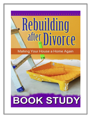# Rebuilding after Divorce

# Making Your House a Home Again

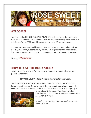

# **WELCOME!**

I hope you enjoy REBUILDING AFTER DIVORCE and the conversation with each other. I'd love to hear your feedback. Email me anytime at **[rose@rosesweet.com](mailto:rose@rosesweet.com)**. And sign up for my FREE monthly newsletter at **https://rosesweet.com**.

Do you want to receive weekly *Video Visits, Temperament Tips*, and more from me? Register on my website for my "SWEET TALK" paid monthly subscription (\$10 month) and I'll help you **PUT YOUR RELIGION IN YOUR RELATIONSHIPS**!

Blessings! Rose Sweet

# **HOW TO USE THE BOOK STUDY**

I recommend the following format, but you can modify it depending on your group's preferences:

#### **SIX WEEK STUDY – Read & discuss four chapters per week.**

This study can be downloaded and printed out or read from your electronic device in a .pdf format. It's up to you! Schedule **a minimum of one hour each week** to allow for everyone to settle in and have time to share. If your group is



larger, stay a little longer! This study includes questions for each chapter to keep the conversation going. MAKE IT FUN!

*Sip coffee, eat cookies, drink wine and cheese…the rest is up to you!*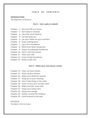#### TABLE OF CONTENTS

#### **INTRODUCTION**

The Rejection of Divorce

#### **Part 1 – Get ready to rebuild**

- Chapter  $1 -$  See your life as a house
- Chapter 2 Get ready to relocate
- Chapter 3 Face the move head on
- Chapter 4 Let God lead you
- Chapter 5 Let your Father be your architect
- Chapter  $6$  Enjoy making plans
- Chapter  $7 -$  Lay a firm foundation
- Chapter 8 Work from God's blueprints
- Chapter 9 Expect an adequate timeframe
- Chapter 10 Don't rush the process
- Chapter  $11$  Clear your title
- Chapter 12 Erect sturdy boundaries
- Chapter 13 Build a solid roof

#### **Part 2 – Make your new house a home**

- Chapter 14 Clear out your closets
- Chapter 15 Stock up your kitchen
- Chapter 16 Make your bedroom special
- Chapter 17 Keep up on your cleaning
- Chapter 18 Don't hide things in the cellar
- Chapter 19 Learn to love your laundry room
- Chapter 20 Make the kids' room safe
- Chapter 21 Enjoy your living room
- Chapter 22 Equip your garage
- Chapter 23 Gather around the fireplace
- Chapter 24 Look forward to the best

EPILOGUE The Best is Yet to Come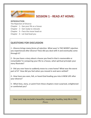

## **SESSION 1 - READ AT HOME:**

#### **INTRODUCTION**

The Rejection of Divorce

Chapter  $1 -$  See your life as a house

- Chapter 2 Get ready to relocate
- Chapter 3 Face the move head on
- Chapter 4 Let God lead you

#### **QUESTIONS FOR DISCUSSION**

**1 -** *Divorce brings many forms of rejection***. What was/ is THE WORST rejection you experienced after divorce? How did you deal with it and eventually come through it?**

**2 - Do you have a story about a house you lived in that is memorable or remarkable? In comparing your life to a house, what spiritual principle your story illustrate?**

**3 - Did you ever have to suddenly move to a new home? What was the worst part of it? How did you feel when you moved in and were settled?**

**4 - How have you seen, felt, or heard God leading you into A NEW LIFE after your divorce?**

**5 - What lines, story, or point from these chapters most surprised, enlightened or comforted you?**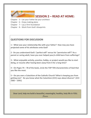

# **SESSION 2 – READ AT HOME:**

Chapter 5 – Let your Father be your architect

- Chapter 6 Enjoy making plans
- Chapter  $7 -$  Lay a firm foundation
- Chapter 8 Work from God's blueprints

### **QUESTIONS FOR DISCUSSION**

**1 – What was your relationship like with your father? How may you have projected some of his attributes onto God?** 

**2 - Do you understand God's "perfect will" versus his "permissive will"? As a parent or caring adult, have you ever helped your/a child learn from sufferings?**

**3 – What enjoyable activity, practice, hobby, or project would you like to start doing, or resume after having been away from it for a long time?**

**4 – On Pages 74 – 78 of the book, circle the TOP TEN characteristics of God that you like the most.**

**5 – Do you own a Catechism of the Catholic Church? What is keeping you from getting one? Do you know what the Catechism (CCC) says about divorce? (CCC 2382 – 2391)**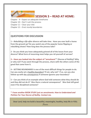

# **SESSION 3 – READ AT HOME:**

Chapter 9 – Expect an adequate timeframe

Chapter 10 – Don't rush the process

Chapter 11 – Clear your title

Chapter 12 – Erect sturdy boundaries

## **QUESTIONS FOR DISCUSSION**

**1 –** *Rebuilding a life after divorce will take time***. Have you ever built a home from the ground up? Do you watch any of the popular home flipping or rebuilding shows? How long does the process take?**

**2 - Do you think you have adequately grieved all of the losses from your divorce? What form of mourning most helps you rid yourself of sorrow?**

**3 – Have you looked into the subject of "annulment"\* (Decree of Nullity)? Why or why not? If you went through the process, share with the others some of the good that came from it.**

**4 – SETTING BOUNDARIES is one of the most difficult things for people to do. Can you easily set a healthy boundary? If not, why not? If so, can you also follow up with the consequence if someone ignores your boundary?**

**5 – Can you think of an example where God told someone what they should do and they did not do it? Was there a natural consequence? Was God still good even if he disciplined someone?**

**\* I have another BOOK STUDY just on annulments:** *How to Understand and Petition For Your Decree of Nullity. Contact me.*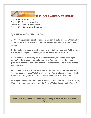

## **SESSION 4 – READ AT HOME:**

Chapter 13 – Build a solid roof Chapter 14 – Clear out your closets Chapter 15 – Stock up your kitchen Chapter 16 – Make your bedroom special

### **QUESTIONS FOR DISCUSSION**

**1 – Protecting yourself from bad things is not selfish but prudent. What kind of things have you done after divorce to protect yourself, your finances, or your family?**

**2 – Do you have a favorite saint you can turn to to help you pray? Tell the group al little about the person and why you have a devotion to him/her.**

**3 – Do you have a closet or junk drawer that is badly in need of cleaning or purging? Is there any memorabilia from your former marriage that could be given away or thrown out? How can this illustrate other parts of your life that need emptying?**

**4 – Do you have any "disordered appetites" when it comes to something good that you crave too much? What is your favorite "guilty pleasure" food or drink? How can that hunger or thirst point to the deeper desire of the heart?**

**5 – Are you familiar with the "spousal analogy" from Scripture? (Page 187 – 189) What are the four ways Jesus loves the Church? What do you think of those?**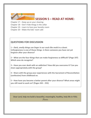

## **SESSION 5 – READ AT HOME:**

Chapter 17 – Keep up on your cleaning

Chapter 18 – Don't hide things in the cellar

Chapter 19 – Learn to love your laundry room

Chapter 20 – Make the kids' room safe

#### **QUESTIONS FOR DISCUSSION**

**1** *– Dark, smelly things can linger in our souls like mold in a closet.* **Unforgiveness is one of those things. Is there someone you have not yet forgiven after your divorce?** 

**2 – What are the four things that can make forgiveness so difficult? (Page 197) Which ones do recognize?**

**3 – Have you ever dealt with an addiction? How did you overcome it? Can you share appropriately with the group?**

**4 – Share with the group your experiences with the Sacrament of Reconciliation (confession) from childhood on.**

**5 – How have you become a better parent after your divorce? What areas might you still need to work on? (Pages 243 – 255)**